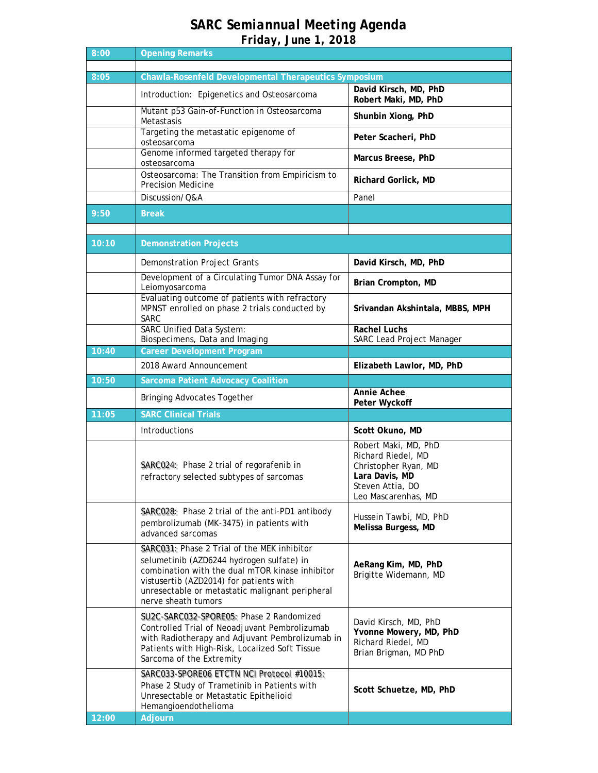## *SARC Semiannual Meeting Agenda Friday, June 1, 2018*

| 8:00  | <b>Opening Remarks</b>                                                                                                                                                                                                                                           |                                                                                                |
|-------|------------------------------------------------------------------------------------------------------------------------------------------------------------------------------------------------------------------------------------------------------------------|------------------------------------------------------------------------------------------------|
| 8:05  | <b>Chawla-Rosenfeld Developmental Therapeutics Symposium</b>                                                                                                                                                                                                     |                                                                                                |
|       | Introduction: Epigenetics and Osteosarcoma                                                                                                                                                                                                                       | David Kirsch, MD, PhD                                                                          |
|       | Mutant p53 Gain-of-Function in Osteosarcoma                                                                                                                                                                                                                      | Robert Maki, MD, PhD<br>Shunbin Xiong, PhD                                                     |
|       | Metastasis<br>Targeting the metastatic epigenome of                                                                                                                                                                                                              | Peter Scacheri, PhD                                                                            |
|       | osteosarcoma<br>Genome informed targeted therapy for                                                                                                                                                                                                             |                                                                                                |
|       | osteosarcoma<br>Osteosarcoma: The Transition from Empiricism to                                                                                                                                                                                                  | Marcus Breese, PhD                                                                             |
|       | Precision Medicine                                                                                                                                                                                                                                               | Richard Gorlick, MD                                                                            |
|       | Discussion/Q&A                                                                                                                                                                                                                                                   | Panel                                                                                          |
| 9:50  | <b>Break</b>                                                                                                                                                                                                                                                     |                                                                                                |
|       |                                                                                                                                                                                                                                                                  |                                                                                                |
| 10:10 | <b>Demonstration Projects</b>                                                                                                                                                                                                                                    |                                                                                                |
|       | Demonstration Project Grants                                                                                                                                                                                                                                     | David Kirsch, MD, PhD                                                                          |
|       | Development of a Circulating Tumor DNA Assay for<br>Leiomyosarcoma                                                                                                                                                                                               | Brian Crompton, MD                                                                             |
|       | Evaluating outcome of patients with refractory<br>MPNST enrolled on phase 2 trials conducted by<br><b>SARC</b>                                                                                                                                                   | Srivandan Akshintala, MBBS, MPH                                                                |
|       | <b>SARC Unified Data System:</b><br>Biospecimens, Data and Imaging                                                                                                                                                                                               | <b>Rachel Luchs</b><br>SARC Lead Project Manager                                               |
| 10:40 | <b>Career Development Program</b>                                                                                                                                                                                                                                |                                                                                                |
|       | 2018 Award Announcement                                                                                                                                                                                                                                          | Elizabeth Lawlor, MD, PhD                                                                      |
| 10:50 | <b>Sarcoma Patient Advocacy Coalition</b>                                                                                                                                                                                                                        |                                                                                                |
|       | <b>Bringing Advocates Together</b>                                                                                                                                                                                                                               | Annie Achee<br>Peter Wyckoff                                                                   |
| 11:05 | <b>SARC Clinical Trials</b>                                                                                                                                                                                                                                      |                                                                                                |
|       | <b>Introductions</b>                                                                                                                                                                                                                                             | Scott Okuno, MD                                                                                |
|       | SARC024: Phase 2 trial of regorafenib in<br>refractory selected subtypes of sarcomas                                                                                                                                                                             | Robert Maki, MD, PhD<br>Richard Riedel, MD<br>Christopher Ryan, MD                             |
|       |                                                                                                                                                                                                                                                                  | Lara Davis, MD<br>Steven Attia. DO<br>Leo Mascarenhas, MD                                      |
|       | SARC028: Phase 2 trial of the anti-PD1 antibody<br>pembrolizumab (MK-3475) in patients with<br>advanced sarcomas                                                                                                                                                 | Hussein Tawbi, MD, PhD<br>Melissa Burgess, MD                                                  |
|       | SARC031: Phase 2 Trial of the MEK inhibitor<br>selumetinib (AZD6244 hydrogen sulfate) in<br>combination with the dual mTOR kinase inhibitor<br>vistusertib (AZD2014) for patients with<br>unresectable or metastatic malignant peripheral<br>nerve sheath tumors | AeRang Kim, MD, PhD<br>Brigitte Widemann, MD                                                   |
|       | SU2C-SARC032-SPORE05: Phase 2 Randomized<br>Controlled Trial of Neoadjuvant Pembrolizumab<br>with Radiotherapy and Adjuvant Pembrolizumab in<br>Patients with High-Risk, Localized Soft Tissue<br>Sarcoma of the Extremity                                       | David Kirsch, MD, PhD<br>Yvonne Mowery, MD, PhD<br>Richard Riedel, MD<br>Brian Brigman, MD PhD |
|       | SARC033-SPORE06 ETCTN NCI Protocol #10015:<br>Phase 2 Study of Trametinib in Patients with<br>Unresectable or Metastatic Epithelioid<br>Hemangioendothelioma                                                                                                     | Scott Schuetze, MD, PhD                                                                        |